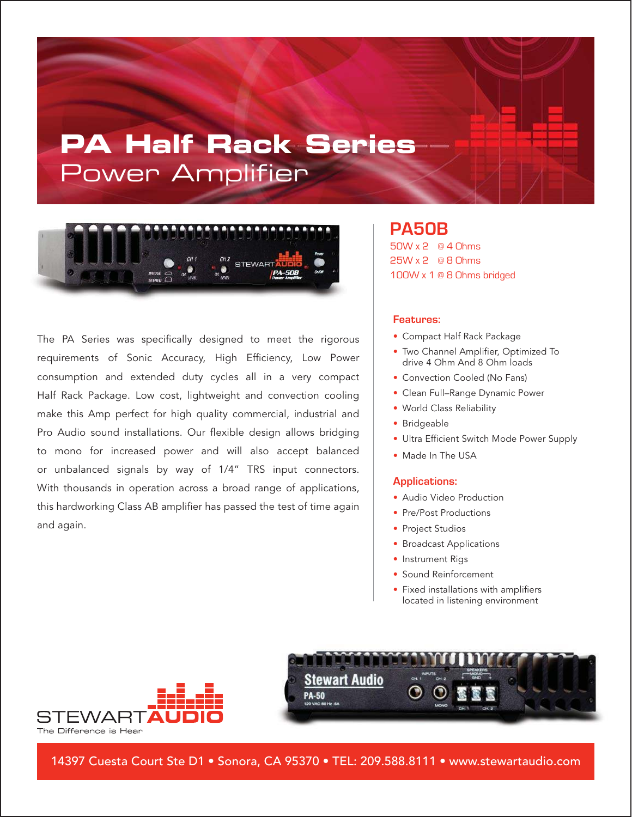# **PA Half Rack Series** Power Amplifier



The PA Series was specifically designed to meet the rigorous requirements of Sonic Accuracy, High Efficiency, Low Power consumption and extended duty cycles all in a very compact Half Rack Package. Low cost, lightweight and convection cooling make this Amp perfect for high quality commercial, industrial and Pro Audio sound installations. Our flexible design allows bridging to mono for increased power and will also accept balanced or unbalanced signals by way of 1/4" TRS input connectors. With thousands in operation across a broad range of applications, this hardworking Class AB amplifier has passed the test of time again and again.

### **PA50B** 50W x 2 @ 4 Ohms 25W x 2 @ 8 Ohms 100W x 1 @ 8 Ohms bridged

#### **Features:**

- Compact Half Rack Package
- Two Channel Amplifier, Optimized To drive 4 Ohm And 8 Ohm loads
- Convection Cooled (No Fans)
- Clean Full–Range Dynamic Power
- World Class Reliability
- Bridgeable
- Ultra Efficient Switch Mode Power Supply
- Made In The USA

#### **Applications:**

- Audio Video Production
- Pre/Post Productions
- Project Studios
- Broadcast Applications
- Instrument Rigs
- Sound Reinforcement
- Fixed installations with amplifiers located in listening environment



14397 Cuesta Court Ste D1 • Sonora, CA 95370 • TEL: 209.588.8111 • www.stewartaudio.com

**PA-50** 

**Stewart Audio**